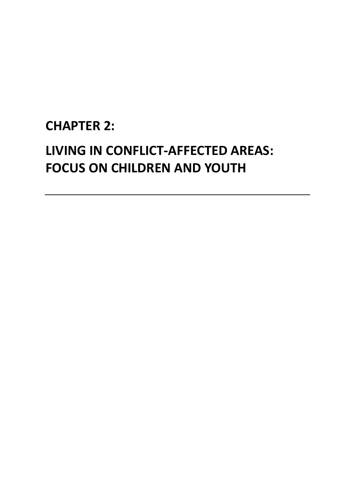## **CHAPTER 2:**

# **LIVING IN CONFLICT-AFFECTED AREAS: FOCUS ON CHILDREN AND YOUTH**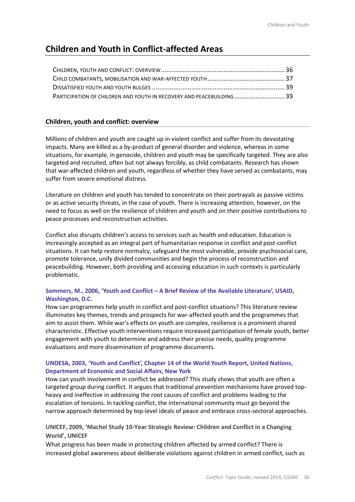### **Children and Youth in Conflict-affected Areas**

| PARTICIPATION OF CHILDREN AND YOUTH IN RECOVERY AND PEACEBUILDING  39 |  |
|-----------------------------------------------------------------------|--|

### **Children, youth and conflict: overview**

Millions of children and youth are caught up in violent conflict and suffer from its devastating impacts. Many are killed as a by-product of general disorder and violence, whereas in some situations, for example, in genocide, children and youth may be specifically targeted. They are also targeted and recruited, often but not always forcibly, as child combatants. Research has shown that war-affected children and youth, regardless of whether they have served as combatants, may suffer from severe emotional distress.

Literature on children and youth has tended to concentrate on their portrayals as passive victims or as active security threats, in the case of youth. There is increasing attention, however, on the need to focus as well on the resilience of children and youth and on their positive contributions to peace processes and reconstruction activities.

Conflict also disrupts children's access to services such as health and education. Education is increasingly accepted as an integral part of humanitarian response in conflict and post-conflict situations. It can help restore normalcy, safeguard the most vulnerable, provide psychosocial care, promote tolerance, unify divided communities and begin the process of reconstruction and peacebuilding. However, both providing and accessing education in such contexts is particularly problematic.

### **Sommers, M., 2006, 'Youth and Conflict – A Brief Review of the Available Literature', USAID, Washington, D.C.**

How can programmes help youth in conflict and post-conflict situations? This literature review illuminates key themes, trends and prospects for war-affected youth and the programmes that aim to assist them. While war's effects on youth are complex, resilience is a prominent shared characteristic. Effective youth interventions require increased participation of female youth, better engagement with youth to determine and address their precise needs, quality programme evaluations and more dissemination of programme documents.

### **UNDESA, 2003, 'Youth and Conflict', Chapter 14 of the World Youth Report, United Nations, Department of Economic and Social Affairs, New York**

How can youth involvement in conflict be addressed? This study shows that youth are often a targeted group during conflict. It argues that traditional prevention mechanisms have proved topheavy and ineffective in addressing the root causes of conflict and problems leading to the escalation of tensions. In tackling conflict, the international community must go beyond the narrow approach determined by top-level ideals of peace and embrace cross-sectoral approaches.

### **UNICEF, 2009, 'Machel Study 10-Year Strategic Review: Children and Conflict in a Changing World', UNICEF**

What progress has been made in protecting children affected by armed conflict? There is increased global awareness about deliberate violations against children in armed conflict, such as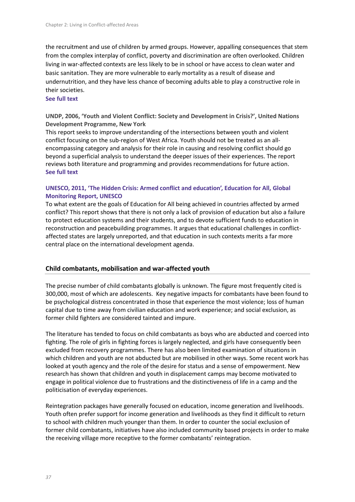the recruitment and use of children by armed groups. However, appalling consequences that stem from the complex interplay of conflict, poverty and discrimination are often overlooked. Children living in war-affected contexts are less likely to be in school or have access to clean water and basic sanitation. They are more vulnerable to early mortality as a result of disease and undernutrition, and they have less chance of becoming adults able to play a constructive role in their societies.

### **See full text**

**UNDP, 2006, 'Youth and Violent Conflict: Society and Development in Crisis?', United Nations Development Programme, New York**

This report seeks to improve understanding of the intersections between youth and violent conflict focusing on the sub-region of West Africa. Youth should not be treated as an allencompassing category and analysis for their role in causing and resolving conflict should go beyond a superficial analysis to understand the deeper issues of their experiences. The report reviews both literature and programming and provides recommendations for future action. **See full text**

### **UNESCO, 2011, 'The Hidden Crisis: Armed conflict and education', Education for All, Global Monitoring Report, UNESCO**

To what extent are the goals of Education for All being achieved in countries affected by armed conflict? This report shows that there is not only a lack of provision of education but also a failure to protect education systems and their students, and to devote sufficient funds to education in reconstruction and peacebuilding programmes. It argues that educational challenges in conflictaffected states are largely unreported, and that education in such contexts merits a far more central place on the international development agenda.

### **Child combatants, mobilisation and war-affected youth**

The precise number of child combatants globally is unknown. The figure most frequently cited is 300,000, most of which are adolescents. Key negative impacts for combatants have been found to be psychological distress concentrated in those that experience the most violence; loss of human capital due to time away from civilian education and work experience; and social exclusion, as former child fighters are considered tainted and impure.

The literature has tended to focus on child combatants as boys who are abducted and coerced into fighting. The role of girls in fighting forces is largely neglected, and girls have consequently been excluded from recovery programmes. There has also been limited examination of situations in which children and youth are not abducted but are mobilised in other ways. Some recent work has looked at youth agency and the role of the desire for status and a sense of empowerment. New research has shown that children and youth in displacement camps may become motivated to engage in political violence due to frustrations and the distinctiveness of life in a camp and the politicisation of everyday experiences.

Reintegration packages have generally focused on education, income generation and livelihoods. Youth often prefer support for income generation and livelihoods as they find it difficult to return to school with children much younger than them. In order to counter the social exclusion of former child combatants, initiatives have also included community based projects in order to make the receiving village more receptive to the former combatants' reintegration.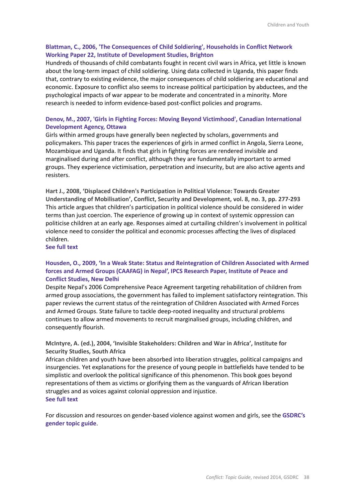### **Blattman, C., 2006, 'The Consequences of Child Soldiering', Households in Conflict Network Working Paper 22, Institute of Development Studies, Brighton**

Hundreds of thousands of child combatants fought in recent civil wars in Africa, yet little is known about the long-term impact of child soldiering. Using data collected in Uganda, this paper finds that, contrary to existing evidence, the major consequences of child soldiering are educational and economic. Exposure to conflict also seems to increase political participation by abductees, and the psychological impacts of war appear to be moderate and concentrated in a minority. More research is needed to inform evidence-based post-conflict policies and programs.

### **Denov, M., 2007, 'Girls in Fighting Forces: Moving Beyond Victimhood', Canadian International Development Agency, Ottawa**

Girls within armed groups have generally been neglected by scholars, governments and policymakers. This paper traces the experiences of girls in armed conflict in Angola, Sierra Leone, Mozambique and Uganda. It finds that girls in fighting forces are rendered invisible and marginalised during and after conflict, although they are fundamentally important to armed groups. They experience victimisation, perpetration and insecurity, but are also active agents and resisters.

**Hart J., 2008, 'Displaced Children's Participation in Political Violence: Towards Greater Understanding of Mobilisation', Conflict, Security and Development, vol. 8, no. 3, pp. 277-293**  This article argues that children's participation in political violence should be considered in wider terms than just coercion. The experience of growing up in context of systemic oppression can politicise children at an early age. Responses aimed at curtailing children's involvement in political violence need to consider the political and economic processes affecting the lives of displaced children.

**See full text** 

### **Housden, O., 2009, 'In a Weak State: Status and Reintegration of Children Associated with Armed forces and Armed Groups (CAAFAG) in Nepal', IPCS Research Paper, Institute of Peace and Conflict Studies, New Delhi**

Despite Nepal's 2006 Comprehensive Peace Agreement targeting rehabilitation of children from armed group associations, the government has failed to implement satisfactory reintegration. This paper reviews the current status of the reintegration of Children Associated with Armed Forces and Armed Groups. State failure to tackle deep-rooted inequality and structural problems continues to allow armed movements to recruit marginalised groups, including children, and consequently flourish.

**McIntyre, A. (ed.), 2004, 'Invisible Stakeholders: Children and War in Africa', Institute for Security Studies, South Africa**

African children and youth have been absorbed into liberation struggles, political campaigns and insurgencies. Yet explanations for the presence of young people in battlefields have tended to be simplistic and overlook the political significance of this phenomenon. This book goes beyond representations of them as victims or glorifying them as the vanguards of African liberation struggles and as voices against colonial oppression and injustice. **See full text**

For discussion and resources on gender-based violence against women and girls, see the **GSDRC's gender topic guide**.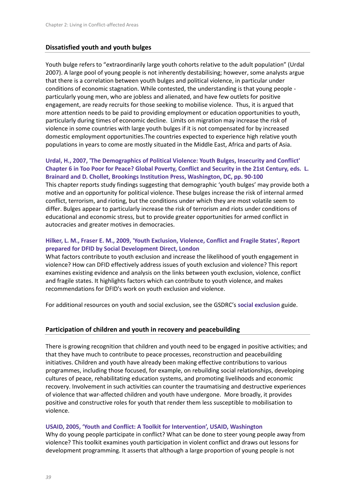### **Dissatisfied youth and youth bulges**

Youth bulge refers to "extraordinarily large youth cohorts relative to the adult population" (Urdal 2007). A large pool of young people is not inherently destabilising; however, some analysts argue that there is a correlation between youth bulges and political violence, in particular under conditions of economic stagnation. While contested, the understanding is that young people particularly young men, who are jobless and alienated, and have few outlets for positive engagement, are ready recruits for those seeking to mobilise violence. Thus, it is argued that more attention needs to be paid to providing employment or education opportunities to youth, particularly during times of economic decline. Limits on migration may increase the risk of violence in some countries with large youth bulges if it is not compensated for by increased domestic employment opportunities.The countries expected to experience high relative youth populations in years to come are mostly situated in the Middle East, Africa and parts of Asia.

### **Urdal, H., 2007, 'The Demographics of Political Violence: Youth Bulges, Insecurity and Conflict' Chapter 6 in Too Poor for Peace? Global Poverty, Conflict and Security in the 21st Century, eds. L. Brainard and D. Chollet, Brookings Institution Press, Washington, DC, pp. 90-100**

This chapter reports study findings suggesting that demographic 'youth bulges' may provide both a motive and an opportunity for political violence. These bulges increase the risk of internal armed conflict, terrorism, and rioting, but the conditions under which they are most volatile seem to differ. Bulges appear to particularly increase the risk of terrorism and riots under conditions of educational and economic stress, but to provide greater opportunities for armed conflict in autocracies and greater motives in democracies.

### **Hilker, L. M., Fraser E. M., 2009, 'Youth Exclusion, Violence, Conflict and Fragile States', Report prepared for DFID by Social Development Direct, London**

What factors contribute to youth exclusion and increase the likelihood of youth engagement in violence? How can DFID effectively address issues of youth exclusion and violence? This report examines existing evidence and analysis on the links between youth exclusion, violence, conflict and fragile states. It highlights factors which can contribute to youth violence, and makes recommendations for DFID's work on youth exclusion and violence.

For additional resources on youth and social exclusion, see the GSDRC's **social exclusion** guide.

### **Participation of children and youth in recovery and peacebuilding**

There is growing recognition that children and youth need to be engaged in positive activities; and that they have much to contribute to peace processes, reconstruction and peacebuilding initiatives. Children and youth have already been making effective contributions to various programmes, including those focused, for example, on rebuilding social relationships, developing cultures of peace, rehabilitating education systems, and promoting livelihoods and economic recovery. Involvement in such activities can counter the traumatising and destructive experiences of violence that war-affected children and youth have undergone. More broadly, it provides positive and constructive roles for youth that render them less susceptible to mobilisation to violence.

### **USAID, 2005, 'Youth and Conflict: A Toolkit for Intervention', USAID, Washington**

Why do young people participate in conflict? What can be done to steer young people away from violence? This toolkit examines youth participation in violent conflict and draws out lessons for development programming. It asserts that although a large proportion of young people is not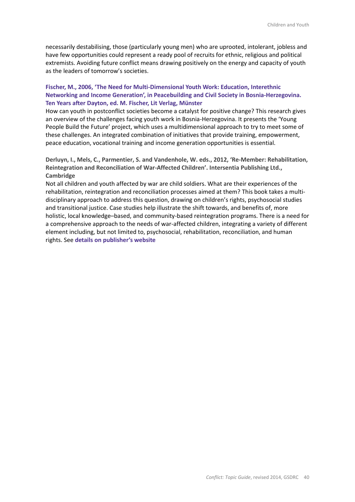necessarily destabilising, those (particularly young men) who are uprooted, intolerant, jobless and have few opportunities could represent a ready pool of recruits for ethnic, religious and political extremists. Avoiding future conflict means drawing positively on the energy and capacity of youth as the leaders of tomorrow's societies.

### **Fischer, M., 2006, 'The Need for Multi-Dimensional Youth Work: Education, Interethnic Networking and Income Generation', in Peacebuilding and Civil Society in Bosnia-Herzegovina. Ten Years after Dayton, ed. M. Fischer, Lit Verlag, Münster**

How can youth in postconflict societies become a catalyst for positive change? This research gives an overview of the challenges facing youth work in Bosnia-Herzegovina. It presents the 'Young People Build the Future' project, which uses a multidimensional approach to try to meet some of these challenges. An integrated combination of initiatives that provide training, empowerment, peace education, vocational training and income generation opportunities is essential.

**Derluyn, I., Mels, C., Parmentier, S. and Vandenhole, W. eds., 2012, 'Re-Member: Rehabilitation, Reintegration and Reconciliation of War-Affected Children'. Intersentia Publishing Ltd., Cambridge**

Not all children and youth affected by war are child soldiers. What are their experiences of the rehabilitation, reintegration and reconciliation processes aimed at them? This book takes a multidisciplinary approach to address this question, drawing on children's rights, psychosocial studies and transitional justice. Case studies help illustrate the shift towards, and benefits of, more holistic, local knowledge–based, and community-based reintegration programs. There is a need for a comprehensive approach to the needs of war-affected children, integrating a variety of different element including, but not limited to, psychosocial, rehabilitation, reconciliation, and human rights. See **details on publisher's website**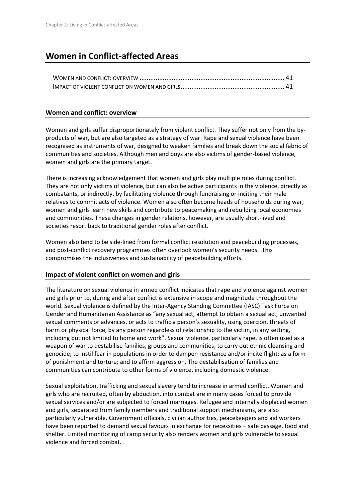### **Women in Conflict-affected Areas**

### **Women and conflict: overview**

Women and girls suffer disproportionately from violent conflict. They suffer not only from the byproducts of war, but are also targeted as a strategy of war. Rape and sexual violence have been recognised as instruments of war, designed to weaken families and break down the social fabric of communities and societies. Although men and boys are also victims of gender-based violence, women and girls are the primary target.

There is increasing acknowledgement that women and girls play multiple roles during conflict. They are not only victims of violence, but can also be active participants in the violence, directly as combatants, or indirectly, by facilitating violence through fundraising or inciting their male relatives to commit acts of violence. Women also often become heads of households during war; women and girls learn new skills and contribute to peacemaking and rebuilding local economies and communities. These changes in gender relations, however, are usually short-lived and societies resort back to traditional gender roles after conflict.

Women also tend to be side-lined from formal conflict resolution and peacebuilding processes, and post-conflict recovery programmes often overlook women's security needs. This compromises the inclusiveness and sustainability of peacebuilding efforts.

### **Impact of violent conflict on women and girls**

The literature on sexual violence in armed conflict indicates that rape and violence against women and girls prior to, during and after conflict is extensive in scope and magnitude throughout the world. Sexual violence is defined by the Inter-Agency Standing Committee (IASC) Task Force on Gender and Humanitarian Assistance as "any sexual act, attempt to obtain a sexual act, unwanted sexual comments or advances, or acts to traffic a person's sexuality, using coercion, threats of harm or physical force, by any person regardless of relationship to the victim, in any setting, including but not limited to home and work". Sexual violence, particularly rape, is often used as a weapon of war to destabilise families, groups and communities; to carry out ethnic cleansing and genocide; to instil fear in populations in order to dampen resistance and/or incite flight; as a form of punishment and torture; and to affirm aggression. The destabilisation of families and communities can contribute to other forms of violence, including domestic violence.

Sexual exploitation, trafficking and sexual slavery tend to increase in armed conflict. Women and girls who are recruited, often by abduction, into combat are in many cases forced to provide sexual services and/or are subjected to forced marriages. Refugee and internally displaced women and girls, separated from family members and traditional support mechanisms, are also particularly vulnerable. Government officials, civilian authorities, peacekeepers and aid workers have been reported to demand sexual favours in exchange for necessities – safe passage, food and shelter. Limited monitoring of camp security also renders women and girls vulnerable to sexual violence and forced combat.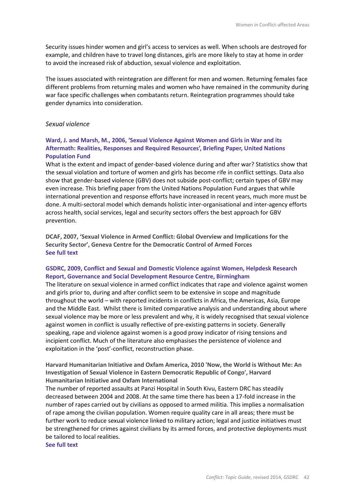Security issues hinder women and girl's access to services as well. When schools are destroyed for example, and children have to travel long distances, girls are more likely to stay at home in order to avoid the increased risk of abduction, sexual violence and exploitation.

The issues associated with reintegration are different for men and women. Returning females face different problems from returning males and women who have remained in the community during war face specific challenges when combatants return. Reintegration programmes should take gender dynamics into consideration.

### *Sexual violence*

### **Ward, J. and Marsh, M., 2006, 'Sexual Violence Against Women and Girls in War and its Aftermath: Realities, Responses and Required Resources', Briefing Paper, United Nations Population Fund**

What is the extent and impact of gender-based violence during and after war? Statistics show that the sexual violation and torture of women and girls has become rife in conflict settings. Data also show that gender-based violence (GBV) does not subside post-conflict; certain types of GBV may even increase. This briefing paper from the United Nations Population Fund argues that while international prevention and response efforts have increased in recent years, much more must be done. A multi-sectoral model which demands holistic inter-organisational and inter-agency efforts across health, social services, legal and security sectors offers the best approach for GBV prevention.

**DCAF, 2007, 'Sexual Violence in Armed Conflict: Global Overview and Implications for the Security Sector', Geneva Centre for the Democratic Control of Armed Forces See full text**

### **GSDRC, 2009, Conflict and Sexual and Domestic Violence against Women, Helpdesk Research Report, Governance and Social Development Resource Centre, Birmingham**

The literature on sexual violence in armed conflict indicates that rape and violence against women and girls prior to, during and after conflict seem to be extensive in scope and magnitude throughout the world – with reported incidents in conflicts in Africa, the Americas, Asia, Europe and the Middle East. Whilst there is limited comparative analysis and understanding about where sexual violence may be more or less prevalent and why, it is widely recognised that sexual violence against women in conflict is usually reflective of pre-existing patterns in society. Generally speaking, rape and violence against women is a good proxy indicator of rising tensions and incipient conflict. Much of the literature also emphasises the persistence of violence and exploitation in the 'post'-conflict, reconstruction phase.

**Harvard Humanitarian Initiative and Oxfam America, 2010 'Now, the World is Without Me: An Investigation of Sexual Violence in Eastern Democratic Republic of Congo', Harvard Humanitarian Initiative and Oxfam International**

The number of reported assaults at Panzi Hospital in South Kivu, Eastern DRC has steadily decreased between 2004 and 2008. At the same time there has been a 17-fold increase in the number of rapes carried out by civilians as opposed to armed militia. This implies a normalisation of rape among the civilian population. Women require quality care in all areas; there must be further work to reduce sexual violence linked to military action; legal and justice initiatives must be strengthened for crimes against civilians by its armed forces, and protective deployments must be tailored to local realities.

**See full text**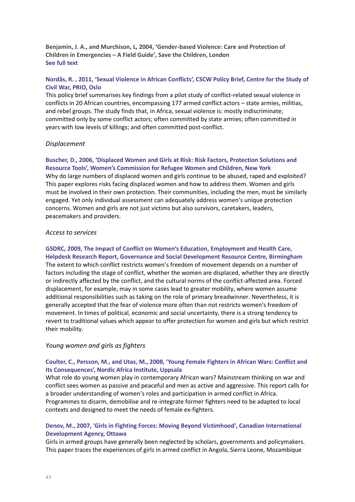**Benjamin, J. A., and Murchison, L, 2004, 'Gender-based Violence: Care and Protection of Children in Emergencies – A Field Guide', Save the Children, London See full text**

### **Nordås, R. , 2011, 'Sexual Violence in African Conflicts', CSCW Policy Brief, Centre for the Study of Civil War, PRIO, Oslo**

This policy brief summarises key findings from a pilot study of conflict-related sexual violence in conflicts in 20 African countries, encompassing 177 armed conflict actors – state armies, militias, and rebel groups. The study finds that, in Africa, sexual violence is: mostly indiscriminate; committed only by some conflict actors; often committed by state armies; often committed in years with low levels of killings; and often committed post-conflict.

### *Displacement*

### **Buscher, D., 2006, 'Displaced Women and Girls at Risk: Risk Factors, Protection Solutions and Resource Tools', Women's Commission for Refugee Women and Children, New York**

Why do large numbers of displaced women and girls continue to be abused, raped and exploited? This paper explores risks facing displaced women and how to address them. Women and girls must be involved in their own protection. Their communities, including the men, must be similarly engaged. Yet only individual assessment can adequately address women's unique protection concerns. Women and girls are not just victims but also survivors, caretakers, leaders, peacemakers and providers.

### *Access to services*

**GSDRC, 2009, The Impact of Conflict on Women's Education, Employment and Health Care, Helpdesk Research Report, Governance and Social Development Resource Centre, Birmingham** The extent to which conflict restricts women's freedom of movement depends on a number of factors including the stage of conflict, whether the women are displaced, whether they are directly or indirectly affected by the conflict, and the cultural norms of the conflict-affected area. Forced displacement, for example, may in some cases lead to greater mobility, where women assume additional responsibilities such as taking on the role of primary breadwinner. Nevertheless, it is generally accepted that the fear of violence more often than not restricts women's freedom of movement. In times of political, economic and social uncertainty, there is a strong tendency to revert to traditional values which appear to offer protection for women and girls but which restrict their mobility.

### *Young women and girls as fighters*

### **Coulter, C., Persson, M., and Utas, M., 2008, 'Young Female Fighters in African Wars: Conflict and Its Consequences', Nordic Africa Institute, Uppsala**

What role do young women play in contemporary African wars? Mainstream thinking on war and conflict sees women as passive and peaceful and men as active and aggressive. This report calls for a broader understanding of women's roles and participation in armed conflict in Africa. Programmes to disarm, demobilise and re-integrate former fighters need to be adapted to local contexts and designed to meet the needs of female ex-fighters.

### **Denov, M., 2007, 'Girls in Fighting Forces: Moving Beyond Victimhood', Canadian International Development Agency, Ottawa**

Girls in armed groups have generally been neglected by scholars, governments and policymakers. This paper traces the experiences of girls in armed conflict in Angola, Sierra Leone, Mozambique